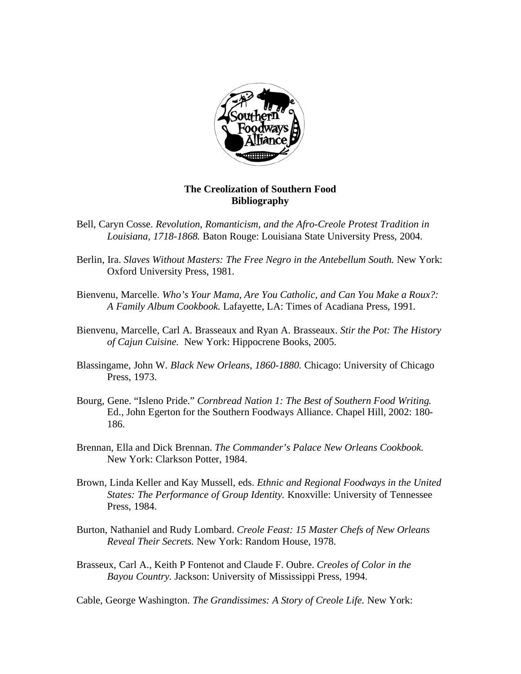

## **The Creolization of Southern Food Bibliography**

- Bell, Caryn Cosse. *Revolution, Romanticism, and the Afro-Creole Protest Tradition in Louisiana, 1718-1868.* Baton Rouge: Louisiana State University Press, 2004.
- Berlin, Ira. *Slaves Without Masters: The Free Negro in the Antebellum South.* New York: Oxford University Press, 1981.
- Bienvenu, Marcelle. *Who's Your Mama, Are You Catholic, and Can You Make a Roux?: A Family Album Cookbook.* Lafayette, LA: Times of Acadiana Press, 1991.
- Bienvenu, Marcelle, Carl A. Brasseaux and Ryan A. Brasseaux. *Stir the Pot: The History of Cajun Cuisine.* New York: Hippocrene Books, 2005.
- Blassingame, John W. *Black New Orleans, 1860-1880.* Chicago: University of Chicago Press, 1973.
- Bourg, Gene. "Isleno Pride." *Cornbread Nation 1: The Best of Southern Food Writing.*  Ed., John Egerton for the Southern Foodways Alliance. Chapel Hill, 2002: 180- 186.
- Brennan, Ella and Dick Brennan. *The Commander's Palace New Orleans Cookbook.*  New York: Clarkson Potter, 1984.
- Brown, Linda Keller and Kay Mussell, eds. *Ethnic and Regional Foodways in the United States: The Performance of Group Identity.* Knoxville: University of Tennessee Press, 1984.
- Burton, Nathaniel and Rudy Lombard. *Creole Feast: 15 Master Chefs of New Orleans Reveal Their Secrets.* New York: Random House, 1978.
- Brasseux, Carl A., Keith P Fontenot and Claude F. Oubre. *Creoles of Color in the Bayou Country.* Jackson: University of Mississippi Press, 1994.

Cable, George Washington. *The Grandissimes: A Story of Creole Life.* New York: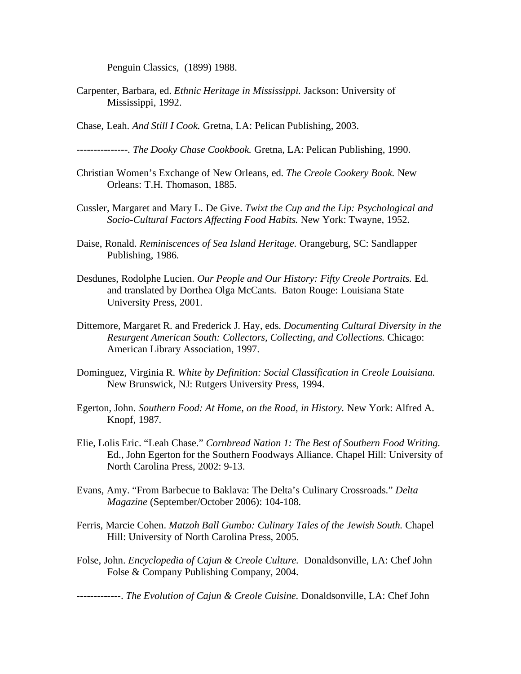Penguin Classics, (1899) 1988.

Carpenter, Barbara, ed. *Ethnic Heritage in Mississippi.* Jackson: University of Mississippi, 1992.

Chase, Leah. *And Still I Cook.* Gretna, LA: Pelican Publishing, 2003.

---------------. *The Dooky Chase Cookbook.* Gretna, LA: Pelican Publishing, 1990.

- Christian Women's Exchange of New Orleans, ed. *The Creole Cookery Book.* New Orleans: T.H. Thomason, 1885.
- Cussler, Margaret and Mary L. De Give. *Twixt the Cup and the Lip: Psychological and Socio-Cultural Factors Affecting Food Habits.* New York: Twayne, 1952.
- Daise, Ronald. *Reminiscences of Sea Island Heritage.* Orangeburg, SC: Sandlapper Publishing, 1986.
- Desdunes, Rodolphe Lucien. *Our People and Our History: Fifty Creole Portraits.* Ed. and translated by Dorthea Olga McCants. Baton Rouge: Louisiana State University Press, 2001.
- Dittemore, Margaret R. and Frederick J. Hay, eds. *Documenting Cultural Diversity in the Resurgent American South: Collectors, Collecting, and Collections.* Chicago: American Library Association, 1997.
- Dominguez, Virginia R. *White by Definition: Social Classification in Creole Louisiana.*  New Brunswick, NJ: Rutgers University Press, 1994.
- Egerton, John. *Southern Food: At Home, on the Road, in History.* New York: Alfred A. Knopf, 1987.
- Elie, Lolis Eric. "Leah Chase." *Cornbread Nation 1: The Best of Southern Food Writing.*  Ed., John Egerton for the Southern Foodways Alliance. Chapel Hill: University of North Carolina Press, 2002: 9-13.
- Evans, Amy. "From Barbecue to Baklava: The Delta's Culinary Crossroads." *Delta Magazine* (September/October 2006): 104-108*.*
- Ferris, Marcie Cohen. *Matzoh Ball Gumbo: Culinary Tales of the Jewish South.* Chapel Hill: University of North Carolina Press, 2005.
- Folse, John. *Encyclopedia of Cajun & Creole Culture.* Donaldsonville, LA: Chef John Folse & Company Publishing Company, 2004.

-------------. *The Evolution of Cajun & Creole Cuisine.* Donaldsonville, LA: Chef John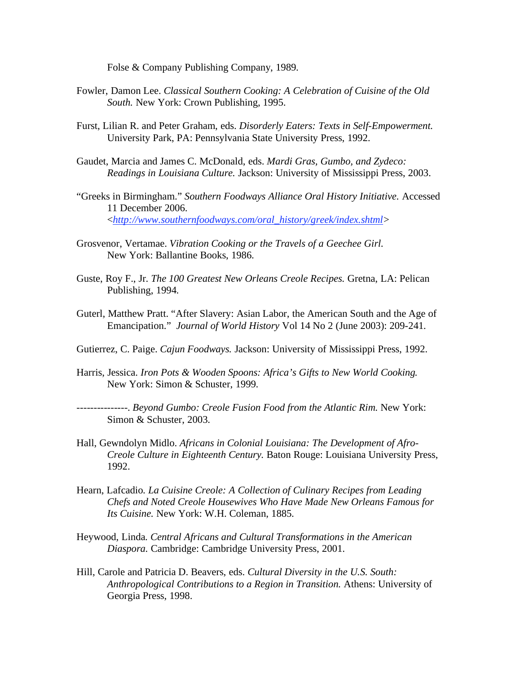Folse & Company Publishing Company, 1989.

- Fowler, Damon Lee. *Classical Southern Cooking: A Celebration of Cuisine of the Old South.* New York: Crown Publishing, 1995.
- Furst, Lilian R. and Peter Graham, eds. *Disorderly Eaters: Texts in Self-Empowerment.*  University Park, PA: Pennsylvania State University Press, 1992.
- Gaudet, Marcia and James C. McDonald, eds. *Mardi Gras, Gumbo, and Zydeco: Readings in Louisiana Culture.* Jackson: University of Mississippi Press, 2003.
- "Greeks in Birmingham." *Southern Foodways Alliance Oral History Initiative.* Accessed 11 December 2006. <*http://www.southernfoodways.com/oral\_history/greek/index.shtml>*
- Grosvenor, Vertamae. *Vibration Cooking or the Travels of a Geechee Girl.*  New York: Ballantine Books, 1986.
- Guste, Roy F., Jr. *The 100 Greatest New Orleans Creole Recipes.* Gretna, LA: Pelican Publishing, 1994.
- Guterl, Matthew Pratt. "After Slavery: Asian Labor, the American South and the Age of Emancipation." *Journal of World History* Vol 14 No 2 (June 2003): 209-241.
- Gutierrez, C. Paige. *Cajun Foodways.* Jackson: University of Mississippi Press, 1992.
- Harris, Jessica. *Iron Pots & Wooden Spoons: Africa's Gifts to New World Cooking.*  New York: Simon & Schuster, 1999.
- ---------------. *Beyond Gumbo: Creole Fusion Food from the Atlantic Rim.* New York: Simon & Schuster, 2003.
- Hall, Gewndolyn Midlo. *Africans in Colonial Louisiana: The Development of Afro-Creole Culture in Eighteenth Century.* Baton Rouge: Louisiana University Press, 1992.
- Hearn, Lafcadio. *La Cuisine Creole: A Collection of Culinary Recipes from Leading Chefs and Noted Creole Housewives Who Have Made New Orleans Famous for Its Cuisine.* New York: W.H. Coleman, 1885.
- Heywood, Linda. *Central Africans and Cultural Transformations in the American Diaspora.* Cambridge: Cambridge University Press, 2001.
- Hill, Carole and Patricia D. Beavers, eds. *Cultural Diversity in the U.S. South: Anthropological Contributions to a Region in Transition.* Athens: University of Georgia Press, 1998.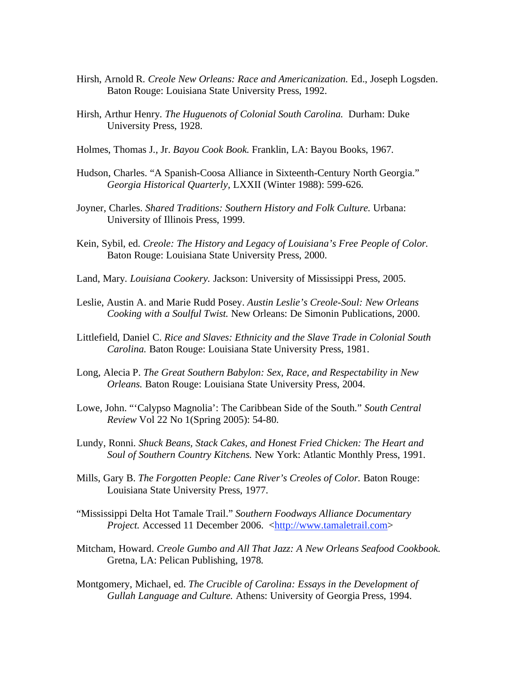- Hirsh, Arnold R. *Creole New Orleans: Race and Americanization.* Ed., Joseph Logsden. Baton Rouge: Louisiana State University Press, 1992.
- Hirsh, Arthur Henry. *The Huguenots of Colonial South Carolina.* Durham: Duke University Press, 1928.
- Holmes, Thomas J., Jr. *Bayou Cook Book.* Franklin, LA: Bayou Books, 1967.
- Hudson, Charles. "A Spanish-Coosa Alliance in Sixteenth-Century North Georgia." *Georgia Historical Quarterly,* LXXII (Winter 1988): 599-626.
- Joyner, Charles. *Shared Traditions: Southern History and Folk Culture.* Urbana: University of Illinois Press, 1999.
- Kein, Sybil, ed. *Creole: The History and Legacy of Louisiana's Free People of Color.*  Baton Rouge: Louisiana State University Press, 2000.
- Land, Mary. *Louisiana Cookery.* Jackson: University of Mississippi Press, 2005.
- Leslie, Austin A. and Marie Rudd Posey. *Austin Leslie's Creole-Soul: New Orleans Cooking with a Soulful Twist.* New Orleans: De Simonin Publications, 2000.
- Littlefield, Daniel C. *Rice and Slaves: Ethnicity and the Slave Trade in Colonial South Carolina.* Baton Rouge: Louisiana State University Press, 1981.
- Long, Alecia P. *The Great Southern Babylon: Sex, Race, and Respectability in New Orleans.* Baton Rouge: Louisiana State University Press, 2004.
- Lowe, John. "'Calypso Magnolia': The Caribbean Side of the South." *South Central Review* Vol 22 No 1(Spring 2005): 54-80.
- Lundy, Ronni. *Shuck Beans, Stack Cakes, and Honest Fried Chicken: The Heart and Soul of Southern Country Kitchens.* New York: Atlantic Monthly Press, 1991.
- Mills, Gary B. *The Forgotten People: Cane River's Creoles of Color*. Baton Rouge: Louisiana State University Press, 1977.
- "Mississippi Delta Hot Tamale Trail." *Southern Foodways Alliance Documentary Project.* Accessed 11 December 2006. <http://www.tamaletrail.com>
- Mitcham, Howard. *Creole Gumbo and All That Jazz: A New Orleans Seafood Cookbook.*  Gretna, LA: Pelican Publishing, 1978.
- Montgomery, Michael, ed. *The Crucible of Carolina: Essays in the Development of Gullah Language and Culture.* Athens: University of Georgia Press, 1994.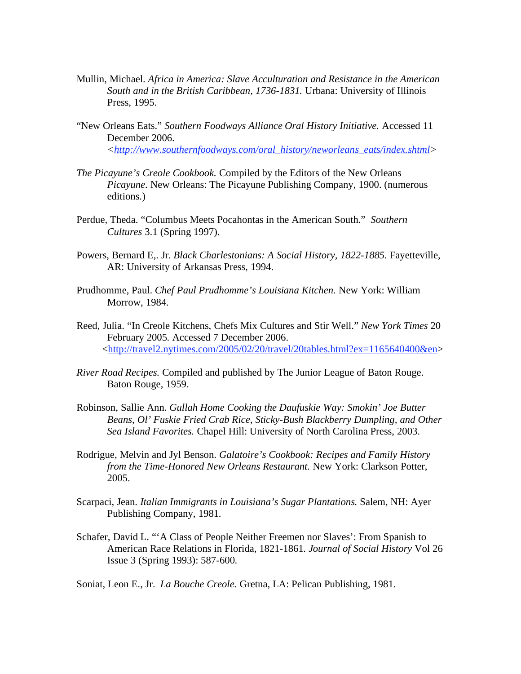- Mullin, Michael. *Africa in America: Slave Acculturation and Resistance in the American South and in the British Caribbean, 1736-1831.* Urbana: University of Illinois Press, 1995.
- "New Orleans Eats." *Southern Foodways Alliance Oral History Initiative.* Accessed 11 December 2006. *<http://www.southernfoodways.com/oral\_history/neworleans\_eats/index.shtml>*
- *The Picayune's Creole Cookbook.* Compiled by the Editors of the New Orleans *Picayune*. New Orleans: The Picayune Publishing Company, 1900. (numerous editions.)
- Perdue, Theda. "Columbus Meets Pocahontas in the American South." *Southern Cultures* 3.1 (Spring 1997).
- Powers, Bernard E., Jr. *Black Charlestonians: A Social History, 1822-1885.* Fayetteville, AR: University of Arkansas Press, 1994.
- Prudhomme, Paul. *Chef Paul Prudhomme's Louisiana Kitchen.* New York: William Morrow, 1984.
- Reed, Julia. "In Creole Kitchens, Chefs Mix Cultures and Stir Well." *New York Times* 20 February 2005. Accessed 7 December 2006. <http://travel2.nytimes.com/2005/02/20/travel/20tables.html?ex=1165640400&en>
- *River Road Recipes.* Compiled and published by The Junior League of Baton Rouge. Baton Rouge, 1959.
- Robinson, Sallie Ann. *Gullah Home Cooking the Daufuskie Way: Smokin' Joe Butter Beans, Ol' Fuskie Fried Crab Rice, Sticky-Bush Blackberry Dumpling, and Other Sea Island Favorites.* Chapel Hill: University of North Carolina Press, 2003.
- Rodrigue, Melvin and Jyl Benson. *Galatoire's Cookbook: Recipes and Family History from the Time-Honored New Orleans Restaurant.* New York: Clarkson Potter, 2005.
- Scarpaci, Jean. *Italian Immigrants in Louisiana's Sugar Plantations.* Salem, NH: Ayer Publishing Company, 1981.
- Schafer, David L. "'A Class of People Neither Freemen nor Slaves': From Spanish to American Race Relations in Florida, 1821-1861. *Journal of Social History* Vol 26 Issue 3 (Spring 1993): 587-600.

Soniat, Leon E., Jr. *La Bouche Creole.* Gretna, LA: Pelican Publishing, 1981.